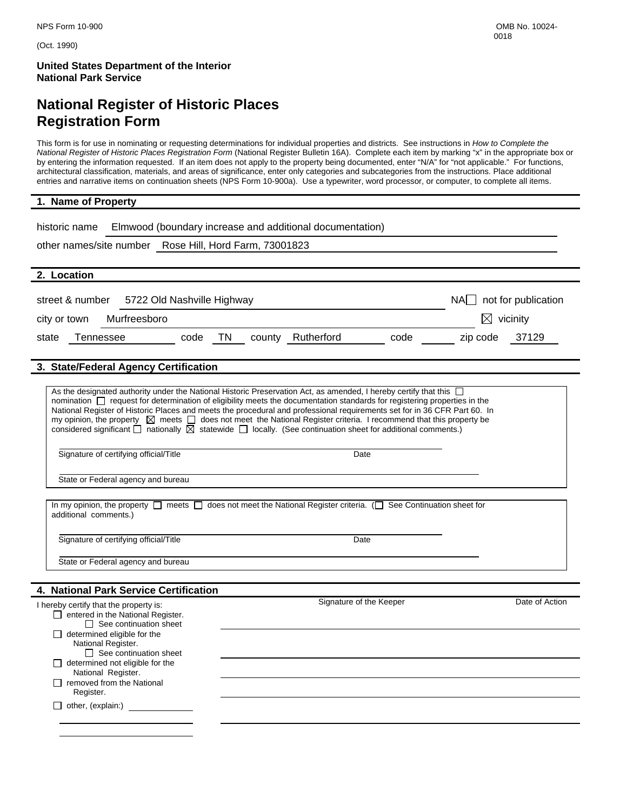(Oct. 1990)

**United States Department of the Interior National Park Service** 

## **National Register of Historic Places Registration Form**

This form is for use in nominating or requesting determinations for individual properties and districts. See instructions in *How to Complete the National Register of Historic Places Registration Form* (National Register Bulletin 16A). Complete each item by marking "x" in the appropriate box or by entering the information requested. If an item does not apply to the property being documented, enter "N/A" for "not applicable." For functions, architectural classification, materials, and areas of significance, enter only categories and subcategories from the instructions. Place additional entries and narrative items on continuation sheets (NPS Form 10-900a). Use a typewriter, word processor, or computer, to complete all items.

#### **1. Name of Property**

| Elmwood (boundary increase and additional documentation)<br>historic name                                                                                                                                                                                                                                                                                                                                                                                                                                                                                                                                                                                  |                          |                |
|------------------------------------------------------------------------------------------------------------------------------------------------------------------------------------------------------------------------------------------------------------------------------------------------------------------------------------------------------------------------------------------------------------------------------------------------------------------------------------------------------------------------------------------------------------------------------------------------------------------------------------------------------------|--------------------------|----------------|
| other names/site number Rose Hill, Hord Farm, 73001823                                                                                                                                                                                                                                                                                                                                                                                                                                                                                                                                                                                                     |                          |                |
| 2. Location                                                                                                                                                                                                                                                                                                                                                                                                                                                                                                                                                                                                                                                |                          |                |
| street & number<br>5722 Old Nashville Highway                                                                                                                                                                                                                                                                                                                                                                                                                                                                                                                                                                                                              | $NA$ not for publication |                |
| Murfreesboro<br>city or town                                                                                                                                                                                                                                                                                                                                                                                                                                                                                                                                                                                                                               | $\boxtimes$ vicinity     |                |
| TN<br>county Rutherford<br>Tennessee<br>code<br>code<br>state                                                                                                                                                                                                                                                                                                                                                                                                                                                                                                                                                                                              | zip code                 | 37129          |
| 3. State/Federal Agency Certification                                                                                                                                                                                                                                                                                                                                                                                                                                                                                                                                                                                                                      |                          |                |
| As the designated authority under the National Historic Preservation Act, as amended, I hereby certify that this $\Box$<br>nomination □ request for determination of eligibility meets the documentation standards for registering properties in the<br>National Register of Historic Places and meets the procedural and professional requirements set for in 36 CFR Part 60. In<br>my opinion, the property $\boxtimes$ meets $\Box$ does not meet the National Register criteria. I recommend that this property be<br>considered significant $\Box$ nationally $\boxtimes$ statewide $\Box$ locally. (See continuation sheet for additional comments.) |                          |                |
| Signature of certifying official/Title<br>Date                                                                                                                                                                                                                                                                                                                                                                                                                                                                                                                                                                                                             |                          |                |
| State or Federal agency and bureau                                                                                                                                                                                                                                                                                                                                                                                                                                                                                                                                                                                                                         |                          |                |
| In my opinion, the property $\Box$ meets $\Box$ does not meet the National Register criteria. ( $\Box$ See Continuation sheet for<br>additional comments.)                                                                                                                                                                                                                                                                                                                                                                                                                                                                                                 |                          |                |
| Signature of certifying official/Title<br>Date                                                                                                                                                                                                                                                                                                                                                                                                                                                                                                                                                                                                             |                          |                |
| State or Federal agency and bureau                                                                                                                                                                                                                                                                                                                                                                                                                                                                                                                                                                                                                         |                          |                |
| 4. National Park Service Certification                                                                                                                                                                                                                                                                                                                                                                                                                                                                                                                                                                                                                     |                          |                |
| Signature of the Keeper<br>I hereby certify that the property is:<br>$\Box$ entered in the National Register.<br>$\Box$ See continuation sheet<br>$\Box$ determined eligible for the                                                                                                                                                                                                                                                                                                                                                                                                                                                                       |                          | Date of Action |
| National Register.<br>$\Box$ See continuation sheet<br>$\Box$ determined not eligible for the                                                                                                                                                                                                                                                                                                                                                                                                                                                                                                                                                              |                          |                |
| National Register.<br>$\Box$ removed from the National<br>Register.                                                                                                                                                                                                                                                                                                                                                                                                                                                                                                                                                                                        |                          |                |
| $\Box$ other, (explain:)                                                                                                                                                                                                                                                                                                                                                                                                                                                                                                                                                                                                                                   |                          |                |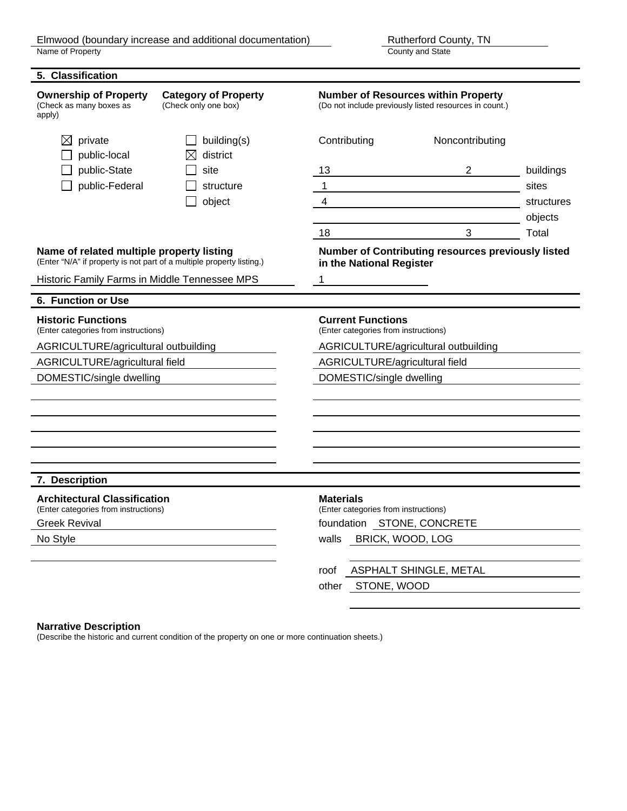County and State

**5. Classification Ownership of Property Category of Property Mumber of Resources within Property** (Check as many boxes as apply) (Check only one box) (Do not include previously listed resources in count.)  $\boxtimes$  private  $\Box$  building(s) Contributing Noncontributing  $\Box$  public-local  $\boxtimes$  district public-State and site 13 and 2 buildings and site 13 and 2 buildings **public-Federal and Structure 1** structure 1 sites in the sites of  $\sim$  1 sites in the sites of  $\sim$  1 sites in the sites of  $\sim$  1 sites in the sites of  $\sim$  1 sites in the sites of  $\sim$  1 sites of  $\sim$  1 sites of  $\sim$  1 object 4 4 structures and  $\overline{4}$  structures objects 18 and 18 and 18 and 18 and 18 and 18 and 18 and 18 and 18 and 18 and 18 and 18 and 18 and 18 and 18 and 18 and 18 and 18 and 18 and 18 and 18 and 18 and 18 and 18 and 18 and 18 and 18 and 18 and 18 and 18 and 18 and 18 an **Name of related multiple property listing Number of Contributing resources previously listed** (Enter "N/A" if property is not part of a multiple property listing.) **in the National Register** Historic Family Farms in Middle Tennessee MPS 1 **6. Function or Use Historic Functions Current Functions** (Enter categories from instructions) (Enter categories from instructions) AGRICULTURE/agricultural outbuilding AGRICULTURE/agricultural outbuilding AGRICULTURE/agricultural field AGRICULTURE/agricultural field DOMESTIC/single dwelling DOMESTIC/single dwelling **7. Description Architectural Classification**<br>
(Enter categories from instructions) **Materials** (Enter categories from instructions) (Enter categories from instructions) (Enter categories from instructions) Greek Revival **Foundation STONE, CONCRETE** No Style walls BRICK, WOOD, LOG roof ASPHALT SHINGLE, METAL other STONE, WOOD

#### **Narrative Description**

(Describe the historic and current condition of the property on one or more continuation sheets.)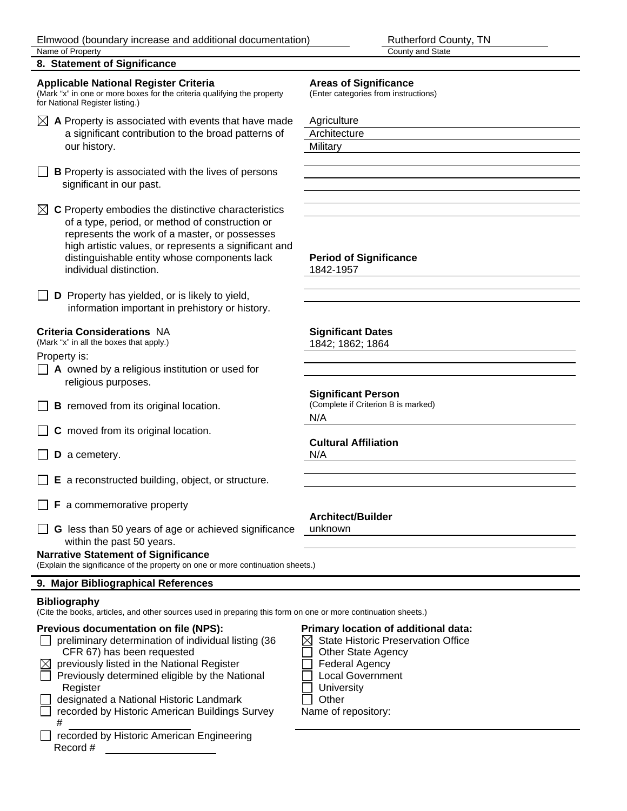County and State

**8. Statement of Significance** 

### **Applicable National Register Criteria Areas of Significance**

(Mark "x" in one or more boxes for the criteria qualifying the property (Enter categories from instructions) for National Register listing.)

- $\boxtimes$  **A** Property is associated with events that have made Agriculture a significant contribution to the broad patterns of Architecture our history. **Military**
- $\Box$  **B** Property is associated with the lives of persons significant in our past.

 $\boxtimes$  **C** Property embodies the distinctive characteristics of a type, period, or method of construction or represents the work of a master, or possesses high artistic values, or represents a significant and distinguishable entity whose components lack **Period of Significance** individual distinction. 1842-1957

 $\Box$  **D** Property has yielded, or is likely to yield, information important in prehistory or history.

### **Criteria Considerations** NA **Significant Dates**

(Mark "x" in all the boxes that apply.) (Mark "x" in all the boxes that apply.)

Property is:

- **A** owned by a religious institution or used for religious purposes.
- $\Box$  **B** removed from its original location.
- $\Box$  **C** moved from its original location.
- **D** a cemetery. N/A
- **E** a reconstructed building, object, or structure.
- **F** a commemorative property
- **G** less than 50 years of age or achieved significance unknown within the past 50 years.

#### **Narrative Statement of Significance**

(Explain the significance of the property on one or more continuation sheets.)

### **9. Major Bibliographical References**

### **Bibliography**

(Cite the books, articles, and other sources used in preparing this form on one or more continuation sheets.)

### **Previous documentation on file (NPS): Primary location of additional data:**

- preliminary determination of individual listing  $(36 \times \boxtimes$  State Historic Preservation Office  $CFR 67$ ) has been requested  $\Box$  Other State Agency
- $\boxtimes$  previously listed in the National Register  $\Box$  Federal Agency
- $\Box$  Previously determined eligible by the National  $\Box$  Local Government Register **Network Register Network Network Network Network Network Network Network Network**
- designated a National Historic Landmark  $\Box$  Other recorded by Historic American Buildings Survey Name of repository:
- # recorded by Historic American Engineering Record #

**Significant Person**<br>(Complete if Criterion B is marked) N/A

### **Cultural Affiliation**

### **Architect/Builder**

- 
- 
-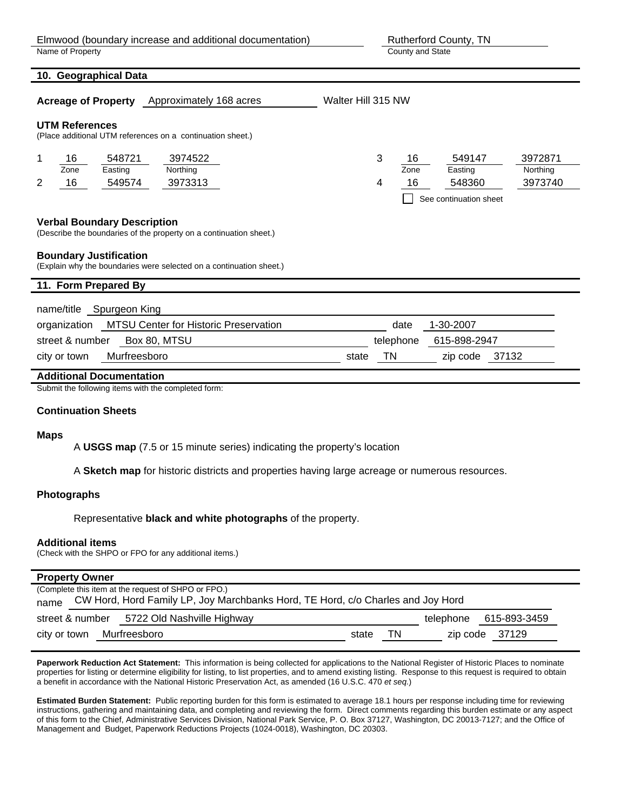County and State

| 10. Geographical Data                                                                                    |                                                                                                                       |
|----------------------------------------------------------------------------------------------------------|-----------------------------------------------------------------------------------------------------------------------|
| <b>Acreage of Property</b> Approximately 168 acres                                                       | Walter Hill 315 NW                                                                                                    |
| <b>UTM References</b><br>(Place additional UTM references on a continuation sheet.)                      |                                                                                                                       |
| 16<br>548721<br>3974522<br>1<br>Zone<br>Easting<br>Northing<br>16<br>549574<br>3973313<br>2              | 3<br>549147<br>3972871<br>16<br>Zone<br>Easting<br>Northing<br>16<br>548360<br>3973740<br>4<br>See continuation sheet |
| <b>Verbal Boundary Description</b><br>(Describe the boundaries of the property on a continuation sheet.) |                                                                                                                       |
| <b>Boundary Justification</b><br>(Explain why the boundaries were selected on a continuation sheet.)     |                                                                                                                       |
| 11. Form Prepared By                                                                                     |                                                                                                                       |
| name/title Spurgeon King                                                                                 |                                                                                                                       |
| MTSU Center for Historic Preservation<br>organization                                                    | 1-30-2007<br>date                                                                                                     |
| street & number<br>Box 80, MTSU                                                                          | telephone<br>615-898-2947                                                                                             |
| Murfreesboro<br>city or town                                                                             | <b>TN</b><br>- 37132<br>state<br>zip code                                                                             |
| <b>Additional Documentation</b>                                                                          |                                                                                                                       |
| Submit the following items with the completed form:                                                      |                                                                                                                       |

#### **Continuation Sheets**

#### **Maps**

A **USGS map** (7.5 or 15 minute series) indicating the property's location

A **Sketch map** for historic districts and properties having large acreage or numerous resources.

#### **Photographs**

Representative **black and white photographs** of the property.

#### **Additional items**

(Check with the SHPO or FPO for any additional items.)

#### **Property Owner**

|      |                           | (Complete this item at the request of SHPO or FPO.)                             |       |    |                        |
|------|---------------------------|---------------------------------------------------------------------------------|-------|----|------------------------|
| name |                           | CW Hord, Hord Family LP, Joy Marchbanks Hord, TE Hord, c/o Charles and Joy Hord |       |    |                        |
|      |                           | street & number 5722 Old Nashville Highway                                      |       |    | telephone 615-893-3459 |
|      | city or town Murfreesboro |                                                                                 | state | ΤN | zip code 37129         |

**Paperwork Reduction Act Statement:** This information is being collected for applications to the National Register of Historic Places to nominate properties for listing or determine eligibility for listing, to list properties, and to amend existing listing. Response to this request is required to obtain a benefit in accordance with the National Historic Preservation Act, as amended (16 U.S.C. 470 *et seq.*)

**Estimated Burden Statement:** Public reporting burden for this form is estimated to average 18.1 hours per response including time for reviewing instructions, gathering and maintaining data, and completing and reviewing the form. Direct comments regarding this burden estimate or any aspect of this form to the Chief, Administrative Services Division, National Park Service, P. O. Box 37127, Washington, DC 20013-7127; and the Office of Management and Budget, Paperwork Reductions Projects (1024-0018), Washington, DC 20303.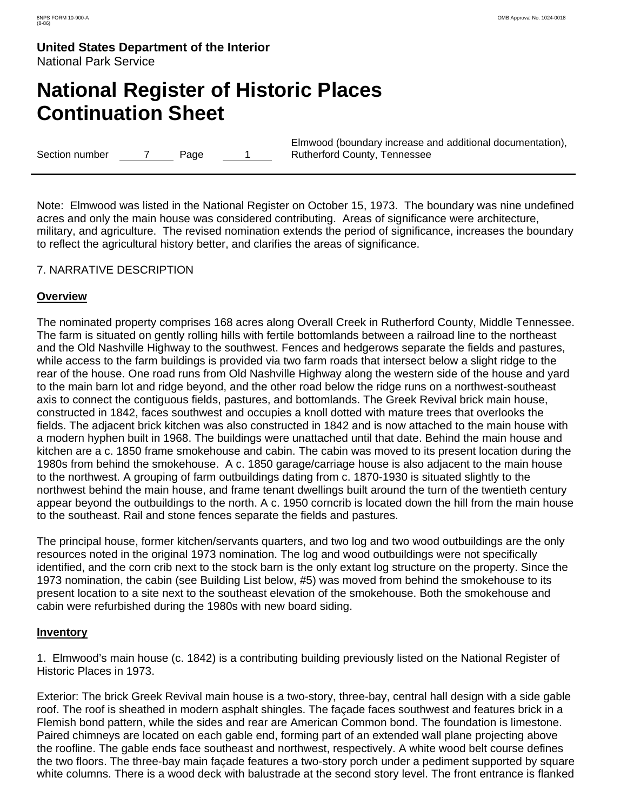# **National Register of Historic Places Continuation Sheet**

Section number 7 Page 1

Elmwood (boundary increase and additional documentation), Rutherford County, Tennessee

Note: Elmwood was listed in the National Register on October 15, 1973. The boundary was nine undefined acres and only the main house was considered contributing. Areas of significance were architecture, military, and agriculture. The revised nomination extends the period of significance, increases the boundary to reflect the agricultural history better, and clarifies the areas of significance.

### 7. NARRATIVE DESCRIPTION

### **Overview**

The nominated property comprises 168 acres along Overall Creek in Rutherford County, Middle Tennessee. The farm is situated on gently rolling hills with fertile bottomlands between a railroad line to the northeast and the Old Nashville Highway to the southwest. Fences and hedgerows separate the fields and pastures, while access to the farm buildings is provided via two farm roads that intersect below a slight ridge to the rear of the house. One road runs from Old Nashville Highway along the western side of the house and yard to the main barn lot and ridge beyond, and the other road below the ridge runs on a northwest-southeast axis to connect the contiguous fields, pastures, and bottomlands. The Greek Revival brick main house, constructed in 1842, faces southwest and occupies a knoll dotted with mature trees that overlooks the fields. The adjacent brick kitchen was also constructed in 1842 and is now attached to the main house with a modern hyphen built in 1968. The buildings were unattached until that date. Behind the main house and kitchen are a c. 1850 frame smokehouse and cabin. The cabin was moved to its present location during the 1980s from behind the smokehouse. A c. 1850 garage/carriage house is also adjacent to the main house to the northwest. A grouping of farm outbuildings dating from c. 1870-1930 is situated slightly to the northwest behind the main house, and frame tenant dwellings built around the turn of the twentieth century appear beyond the outbuildings to the north. A c. 1950 corncrib is located down the hill from the main house to the southeast. Rail and stone fences separate the fields and pastures.

The principal house, former kitchen/servants quarters, and two log and two wood outbuildings are the only resources noted in the original 1973 nomination. The log and wood outbuildings were not specifically identified, and the corn crib next to the stock barn is the only extant log structure on the property. Since the 1973 nomination, the cabin (see Building List below, #5) was moved from behind the smokehouse to its present location to a site next to the southeast elevation of the smokehouse. Both the smokehouse and cabin were refurbished during the 1980s with new board siding.

### **Inventory**

1. Elmwood's main house (c. 1842) is a contributing building previously listed on the National Register of Historic Places in 1973.

Exterior: The brick Greek Revival main house is a two-story, three-bay, central hall design with a side gable roof. The roof is sheathed in modern asphalt shingles. The façade faces southwest and features brick in a Flemish bond pattern, while the sides and rear are American Common bond. The foundation is limestone. Paired chimneys are located on each gable end, forming part of an extended wall plane projecting above the roofline. The gable ends face southeast and northwest, respectively. A white wood belt course defines the two floors. The three-bay main façade features a two-story porch under a pediment supported by square white columns. There is a wood deck with balustrade at the second story level. The front entrance is flanked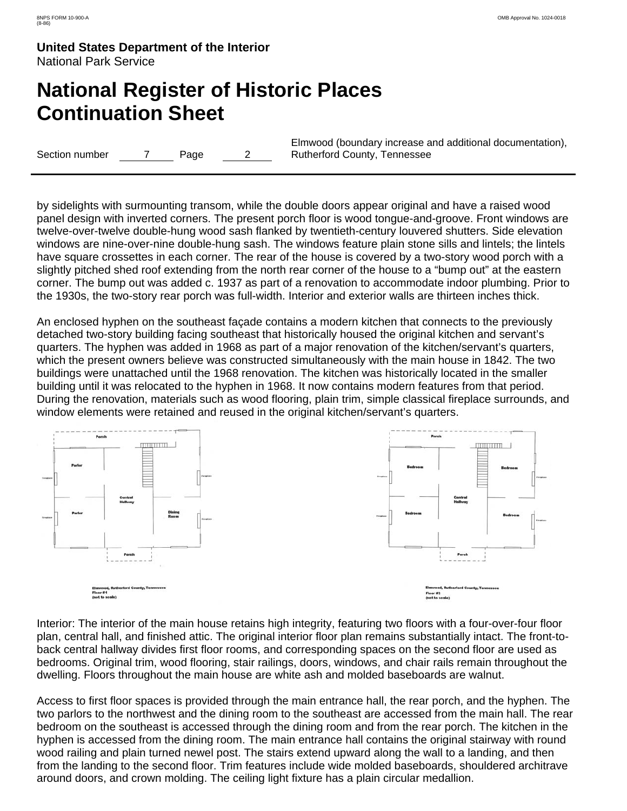# **National Register of Historic Places Continuation Sheet**

Section number  $\qquad 7$  Page 2

Elmwood (boundary increase and additional documentation), Rutherford County, Tennessee

by sidelights with surmounting transom, while the double doors appear original and have a raised wood panel design with inverted corners. The present porch floor is wood tongue-and-groove. Front windows are twelve-over-twelve double-hung wood sash flanked by twentieth-century louvered shutters. Side elevation windows are nine-over-nine double-hung sash. The windows feature plain stone sills and lintels; the lintels have square crossettes in each corner. The rear of the house is covered by a two-story wood porch with a slightly pitched shed roof extending from the north rear corner of the house to a "bump out" at the eastern corner. The bump out was added c. 1937 as part of a renovation to accommodate indoor plumbing. Prior to the 1930s, the two-story rear porch was full-width. Interior and exterior walls are thirteen inches thick.

An enclosed hyphen on the southeast façade contains a modern kitchen that connects to the previously detached two-story building facing southeast that historically housed the original kitchen and servant's quarters. The hyphen was added in 1968 as part of a major renovation of the kitchen/servant's quarters, which the present owners believe was constructed simultaneously with the main house in 1842. The two buildings were unattached until the 1968 renovation. The kitchen was historically located in the smaller building until it was relocated to the hyphen in 1968. It now contains modern features from that period. During the renovation, materials such as wood flooring, plain trim, simple classical fireplace surrounds, and window elements were retained and reused in the original kitchen/servant's quarters.



Interior: The interior of the main house retains high integrity, featuring two floors with a four-over-four floor plan, central hall, and finished attic. The original interior floor plan remains substantially intact. The front-toback central hallway divides first floor rooms, and corresponding spaces on the second floor are used as bedrooms. Original trim, wood flooring, stair railings, doors, windows, and chair rails remain throughout the dwelling. Floors throughout the main house are white ash and molded baseboards are walnut.

Access to first floor spaces is provided through the main entrance hall, the rear porch, and the hyphen. The two parlors to the northwest and the dining room to the southeast are accessed from the main hall. The rear bedroom on the southeast is accessed through the dining room and from the rear porch. The kitchen in the hyphen is accessed from the dining room. The main entrance hall contains the original stairway with round wood railing and plain turned newel post. The stairs extend upward along the wall to a landing, and then from the landing to the second floor. Trim features include wide molded baseboards, shouldered architrave around doors, and crown molding. The ceiling light fixture has a plain circular medallion.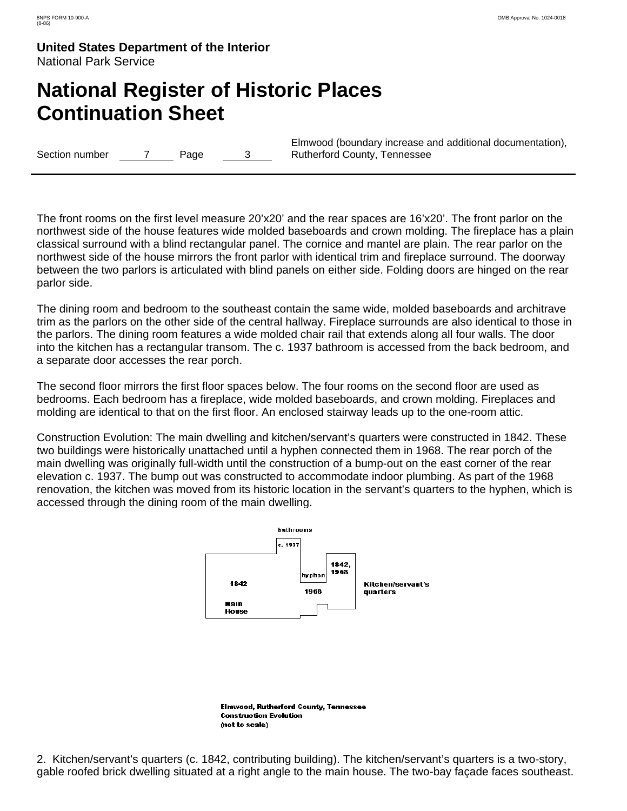# **National Register of Historic Places Continuation Sheet**

Section number 7 Page 3

Elmwood (boundary increase and additional documentation), Rutherford County, Tennessee

The front rooms on the first level measure 20'x20' and the rear spaces are 16'x20'. The front parlor on the northwest side of the house features wide molded baseboards and crown molding. The fireplace has a plain classical surround with a blind rectangular panel. The cornice and mantel are plain. The rear parlor on the northwest side of the house mirrors the front parlor with identical trim and fireplace surround. The doorway between the two parlors is articulated with blind panels on either side. Folding doors are hinged on the rear parlor side.

The dining room and bedroom to the southeast contain the same wide, molded baseboards and architrave trim as the parlors on the other side of the central hallway. Fireplace surrounds are also identical to those in the parlors. The dining room features a wide molded chair rail that extends along all four walls. The door into the kitchen has a rectangular transom. The c. 1937 bathroom is accessed from the back bedroom, and a separate door accesses the rear porch.

The second floor mirrors the first floor spaces below. The four rooms on the second floor are used as bedrooms. Each bedroom has a fireplace, wide molded baseboards, and crown molding. Fireplaces and molding are identical to that on the first floor. An enclosed stairway leads up to the one-room attic.

Construction Evolution: The main dwelling and kitchen/servant's quarters were constructed in 1842. These two buildings were historically unattached until a hyphen connected them in 1968. The rear porch of the main dwelling was originally full-width until the construction of a bump-out on the east corner of the rear elevation c. 1937. The bump out was constructed to accommodate indoor plumbing. As part of the 1968 renovation, the kitchen was moved from its historic location in the servant's quarters to the hyphen, which is accessed through the dining room of the main dwelling.



2. Kitchen/servant's quarters (c. 1842, contributing building). The kitchen/servant's quarters is a two-story, gable roofed brick dwelling situated at a right angle to the main house. The two-bay façade faces southeast.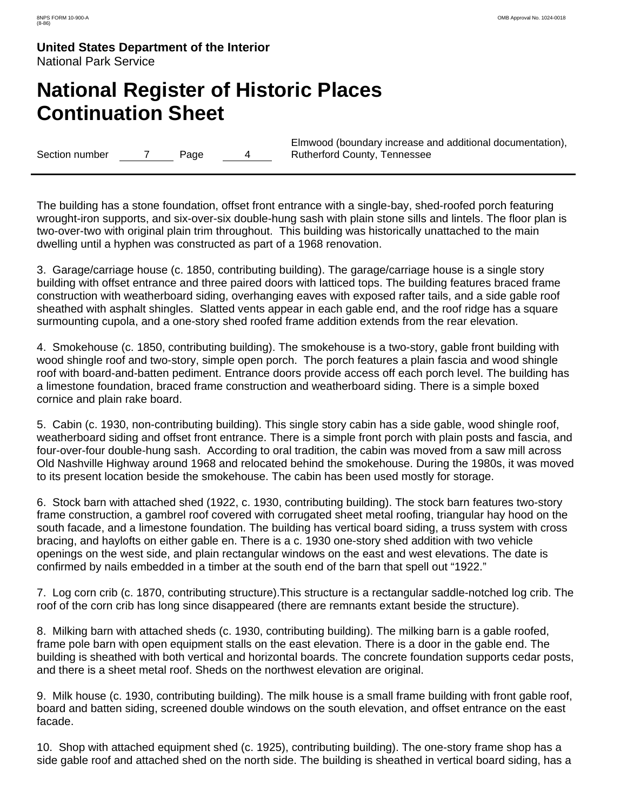# **National Register of Historic Places Continuation Sheet**

Section number 7 Page 4

Elmwood (boundary increase and additional documentation), Rutherford County, Tennessee

The building has a stone foundation, offset front entrance with a single-bay, shed-roofed porch featuring wrought-iron supports, and six-over-six double-hung sash with plain stone sills and lintels. The floor plan is two-over-two with original plain trim throughout. This building was historically unattached to the main dwelling until a hyphen was constructed as part of a 1968 renovation.

3. Garage/carriage house (c. 1850, contributing building). The garage/carriage house is a single story building with offset entrance and three paired doors with latticed tops. The building features braced frame construction with weatherboard siding, overhanging eaves with exposed rafter tails, and a side gable roof sheathed with asphalt shingles. Slatted vents appear in each gable end, and the roof ridge has a square surmounting cupola, and a one-story shed roofed frame addition extends from the rear elevation.

4. Smokehouse (c. 1850, contributing building). The smokehouse is a two-story, gable front building with wood shingle roof and two-story, simple open porch. The porch features a plain fascia and wood shingle roof with board-and-batten pediment. Entrance doors provide access off each porch level. The building has a limestone foundation, braced frame construction and weatherboard siding. There is a simple boxed cornice and plain rake board.

5. Cabin (c. 1930, non-contributing building). This single story cabin has a side gable, wood shingle roof, weatherboard siding and offset front entrance. There is a simple front porch with plain posts and fascia, and four-over-four double-hung sash. According to oral tradition, the cabin was moved from a saw mill across Old Nashville Highway around 1968 and relocated behind the smokehouse. During the 1980s, it was moved to its present location beside the smokehouse. The cabin has been used mostly for storage.

6. Stock barn with attached shed (1922, c. 1930, contributing building). The stock barn features two-story frame construction, a gambrel roof covered with corrugated sheet metal roofing, triangular hay hood on the south facade, and a limestone foundation. The building has vertical board siding, a truss system with cross bracing, and haylofts on either gable en. There is a c. 1930 one-story shed addition with two vehicle openings on the west side, and plain rectangular windows on the east and west elevations. The date is confirmed by nails embedded in a timber at the south end of the barn that spell out "1922."

7. Log corn crib (c. 1870, contributing structure).This structure is a rectangular saddle-notched log crib. The roof of the corn crib has long since disappeared (there are remnants extant beside the structure).

8. Milking barn with attached sheds (c. 1930, contributing building). The milking barn is a gable roofed, frame pole barn with open equipment stalls on the east elevation. There is a door in the gable end. The building is sheathed with both vertical and horizontal boards. The concrete foundation supports cedar posts, and there is a sheet metal roof. Sheds on the northwest elevation are original.

9. Milk house (c. 1930, contributing building). The milk house is a small frame building with front gable roof, board and batten siding, screened double windows on the south elevation, and offset entrance on the east facade.

10. Shop with attached equipment shed (c. 1925), contributing building). The one-story frame shop has a side gable roof and attached shed on the north side. The building is sheathed in vertical board siding, has a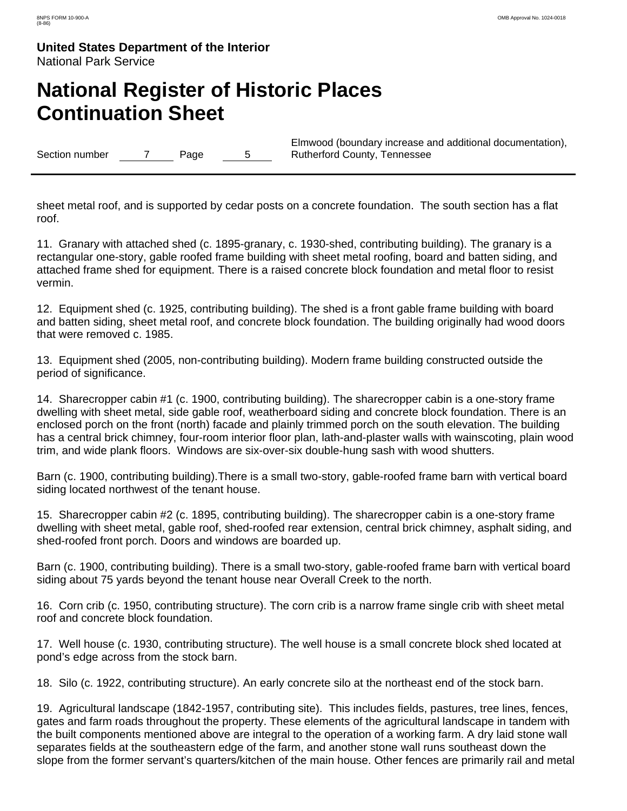# **National Register of Historic Places Continuation Sheet**

Section number 7 Page 5

Elmwood (boundary increase and additional documentation), Rutherford County, Tennessee

sheet metal roof, and is supported by cedar posts on a concrete foundation. The south section has a flat roof.

11. Granary with attached shed (c. 1895-granary, c. 1930-shed, contributing building). The granary is a rectangular one-story, gable roofed frame building with sheet metal roofing, board and batten siding, and attached frame shed for equipment. There is a raised concrete block foundation and metal floor to resist vermin.

12. Equipment shed (c. 1925, contributing building). The shed is a front gable frame building with board and batten siding, sheet metal roof, and concrete block foundation. The building originally had wood doors that were removed c. 1985.

13. Equipment shed (2005, non-contributing building). Modern frame building constructed outside the period of significance.

14. Sharecropper cabin #1 (c. 1900, contributing building). The sharecropper cabin is a one-story frame dwelling with sheet metal, side gable roof, weatherboard siding and concrete block foundation. There is an enclosed porch on the front (north) facade and plainly trimmed porch on the south elevation. The building has a central brick chimney, four-room interior floor plan, lath-and-plaster walls with wainscoting, plain wood trim, and wide plank floors. Windows are six-over-six double-hung sash with wood shutters.

Barn (c. 1900, contributing building).There is a small two-story, gable-roofed frame barn with vertical board siding located northwest of the tenant house.

15. Sharecropper cabin #2 (c. 1895, contributing building). The sharecropper cabin is a one-story frame dwelling with sheet metal, gable roof, shed-roofed rear extension, central brick chimney, asphalt siding, and shed-roofed front porch. Doors and windows are boarded up.

Barn (c. 1900, contributing building). There is a small two-story, gable-roofed frame barn with vertical board siding about 75 yards beyond the tenant house near Overall Creek to the north.

16. Corn crib (c. 1950, contributing structure). The corn crib is a narrow frame single crib with sheet metal roof and concrete block foundation.

17. Well house (c. 1930, contributing structure). The well house is a small concrete block shed located at pond's edge across from the stock barn.

18. Silo (c. 1922, contributing structure). An early concrete silo at the northeast end of the stock barn.

19. Agricultural landscape (1842-1957, contributing site). This includes fields, pastures, tree lines, fences, gates and farm roads throughout the property. These elements of the agricultural landscape in tandem with the built components mentioned above are integral to the operation of a working farm. A dry laid stone wall separates fields at the southeastern edge of the farm, and another stone wall runs southeast down the slope from the former servant's quarters/kitchen of the main house. Other fences are primarily rail and metal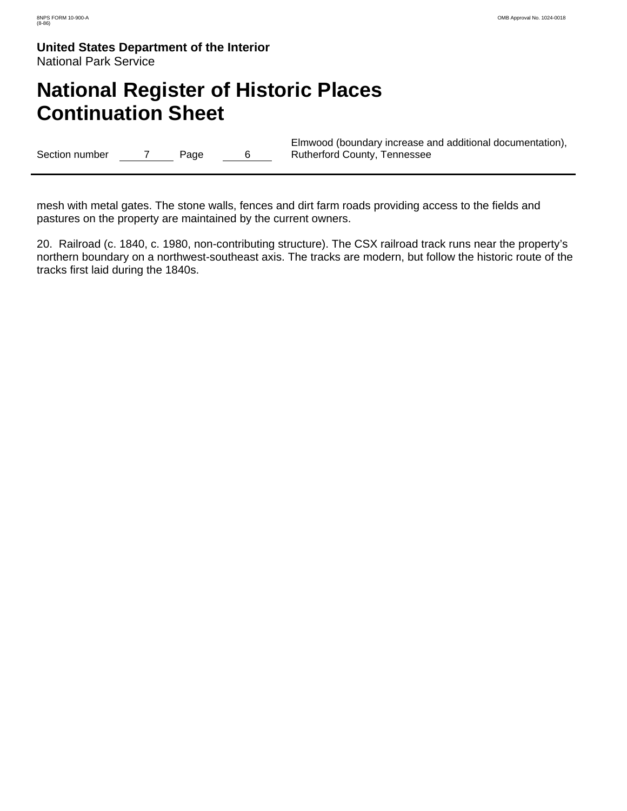# **National Register of Historic Places Continuation Sheet**

Section number 7 Page 6

Elmwood (boundary increase and additional documentation), Rutherford County, Tennessee

mesh with metal gates. The stone walls, fences and dirt farm roads providing access to the fields and pastures on the property are maintained by the current owners.

20. Railroad (c. 1840, c. 1980, non-contributing structure). The CSX railroad track runs near the property's northern boundary on a northwest-southeast axis. The tracks are modern, but follow the historic route of the tracks first laid during the 1840s.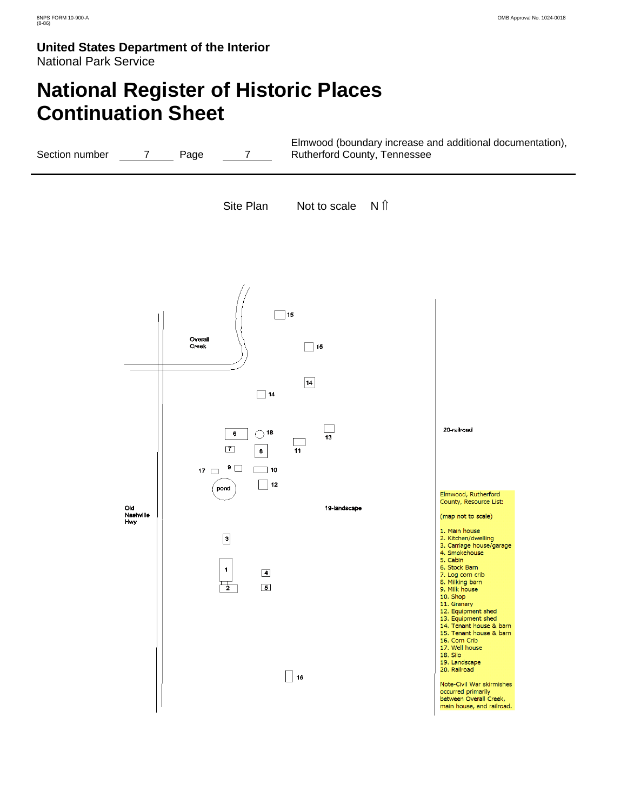# **National Register of Historic Places Continuation Sheet**

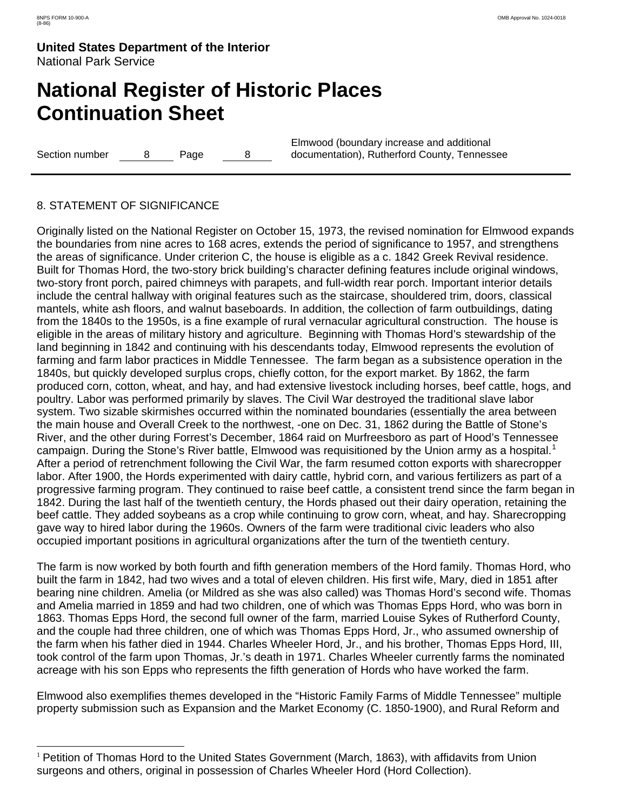$\overline{a}$ 

**United States Department of the Interior** National Park Service

# **National Register of Historic Places Continuation Sheet**

Section number 8 Page 8

Elmwood (boundary increase and additional documentation), Rutherford County, Tennessee

### 8. STATEMENT OF SIGNIFICANCE

Originally listed on the National Register on October 15, 1973, the revised nomination for Elmwood expands the boundaries from nine acres to 168 acres, extends the period of significance to 1957, and strengthens the areas of significance. Under criterion C, the house is eligible as a c. 1842 Greek Revival residence. Built for Thomas Hord, the two-story brick building's character defining features include original windows, two-story front porch, paired chimneys with parapets, and full-width rear porch. Important interior details include the central hallway with original features such as the staircase, shouldered trim, doors, classical mantels, white ash floors, and walnut baseboards. In addition, the collection of farm outbuildings, dating from the 1840s to the 1950s, is a fine example of rural vernacular agricultural construction. The house is eligible in the areas of military history and agriculture. Beginning with Thomas Hord's stewardship of the land beginning in 1842 and continuing with his descendants today, Elmwood represents the evolution of farming and farm labor practices in Middle Tennessee. The farm began as a subsistence operation in the 1840s, but quickly developed surplus crops, chiefly cotton, for the export market. By 1862, the farm produced corn, cotton, wheat, and hay, and had extensive livestock including horses, beef cattle, hogs, and poultry. Labor was performed primarily by slaves. The Civil War destroyed the traditional slave labor system. Two sizable skirmishes occurred within the nominated boundaries (essentially the area between the main house and Overall Creek to the northwest, -one on Dec. 31, 1862 during the Battle of Stone's River, and the other during Forrest's December, 1864 raid on Murfreesboro as part of Hood's Tennessee campaign. During the Stone's River battle, Elmwood was requisitioned by the Union army as a hospital.<sup>[1](#page-11-0)</sup> After a period of retrenchment following the Civil War, the farm resumed cotton exports with sharecropper labor. After 1900, the Hords experimented with dairy cattle, hybrid corn, and various fertilizers as part of a progressive farming program. They continued to raise beef cattle, a consistent trend since the farm began in 1842. During the last half of the twentieth century, the Hords phased out their dairy operation, retaining the beef cattle. They added soybeans as a crop while continuing to grow corn, wheat, and hay. Sharecropping gave way to hired labor during the 1960s. Owners of the farm were traditional civic leaders who also occupied important positions in agricultural organizations after the turn of the twentieth century.

The farm is now worked by both fourth and fifth generation members of the Hord family. Thomas Hord, who built the farm in 1842, had two wives and a total of eleven children. His first wife, Mary, died in 1851 after bearing nine children. Amelia (or Mildred as she was also called) was Thomas Hord's second wife. Thomas and Amelia married in 1859 and had two children, one of which was Thomas Epps Hord, who was born in 1863. Thomas Epps Hord, the second full owner of the farm, married Louise Sykes of Rutherford County, and the couple had three children, one of which was Thomas Epps Hord, Jr., who assumed ownership of the farm when his father died in 1944. Charles Wheeler Hord, Jr., and his brother, Thomas Epps Hord, III, took control of the farm upon Thomas, Jr.'s death in 1971. Charles Wheeler currently farms the nominated acreage with his son Epps who represents the fifth generation of Hords who have worked the farm.

Elmwood also exemplifies themes developed in the "Historic Family Farms of Middle Tennessee" multiple property submission such as Expansion and the Market Economy (C. 1850-1900), and Rural Reform and

<span id="page-11-0"></span><sup>&</sup>lt;sup>1</sup> Petition of Thomas Hord to the United States Government (March, 1863), with affidavits from Union surgeons and others, original in possession of Charles Wheeler Hord (Hord Collection).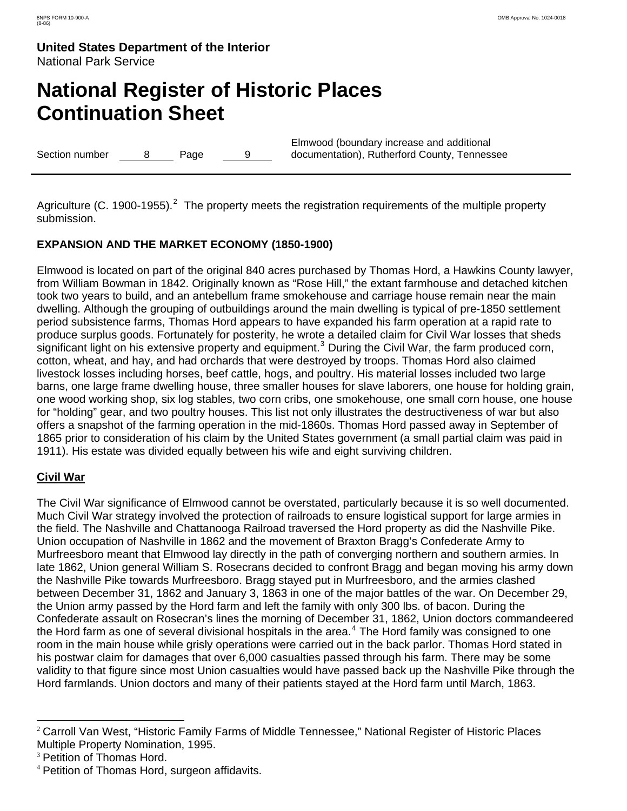# **National Register of Historic Places Continuation Sheet**

Section number 8 Page 9

Elmwood (boundary increase and additional documentation), Rutherford County, Tennessee

Agriculture (C. 1900-1955).<sup>[2](#page-12-0)</sup> The property meets the registration requirements of the multiple property submission.

### **EXPANSION AND THE MARKET ECONOMY (1850-1900)**

Elmwood is located on part of the original 840 acres purchased by Thomas Hord, a Hawkins County lawyer, from William Bowman in 1842. Originally known as "Rose Hill," the extant farmhouse and detached kitchen took two years to build, and an antebellum frame smokehouse and carriage house remain near the main dwelling. Although the grouping of outbuildings around the main dwelling is typical of pre-1850 settlement period subsistence farms, Thomas Hord appears to have expanded his farm operation at a rapid rate to produce surplus goods. Fortunately for posterity, he wrote a detailed claim for Civil War losses that sheds significant light on his extensive property and equipment.<sup>[3](#page-12-1)</sup> During the Civil War, the farm produced corn, cotton, wheat, and hay, and had orchards that were destroyed by troops. Thomas Hord also claimed livestock losses including horses, beef cattle, hogs, and poultry. His material losses included two large barns, one large frame dwelling house, three smaller houses for slave laborers, one house for holding grain, one wood working shop, six log stables, two corn cribs, one smokehouse, one small corn house, one house for "holding" gear, and two poultry houses. This list not only illustrates the destructiveness of war but also offers a snapshot of the farming operation in the mid-1860s. Thomas Hord passed away in September of 1865 prior to consideration of his claim by the United States government (a small partial claim was paid in 1911). His estate was divided equally between his wife and eight surviving children.

### **Civil War**

 $\overline{a}$ 

The Civil War significance of Elmwood cannot be overstated, particularly because it is so well documented. Much Civil War strategy involved the protection of railroads to ensure logistical support for large armies in the field. The Nashville and Chattanooga Railroad traversed the Hord property as did the Nashville Pike. Union occupation of Nashville in 1862 and the movement of Braxton Bragg's Confederate Army to Murfreesboro meant that Elmwood lay directly in the path of converging northern and southern armies. In late 1862, Union general William S. Rosecrans decided to confront Bragg and began moving his army down the Nashville Pike towards Murfreesboro. Bragg stayed put in Murfreesboro, and the armies clashed between December 31, 1862 and January 3, 1863 in one of the major battles of the war. On December 29, the Union army passed by the Hord farm and left the family with only 300 lbs. of bacon. During the Confederate assault on Rosecran's lines the morning of December 31, 1862, Union doctors commandeered the Hord farm as one of several divisional hospitals in the area.<sup>[4](#page-12-2)</sup> The Hord family was consigned to one room in the main house while grisly operations were carried out in the back parlor. Thomas Hord stated in his postwar claim for damages that over 6,000 casualties passed through his farm. There may be some validity to that figure since most Union casualties would have passed back up the Nashville Pike through the Hord farmlands. Union doctors and many of their patients stayed at the Hord farm until March, 1863.

<span id="page-12-0"></span><sup>2</sup> Carroll Van West, "Historic Family Farms of Middle Tennessee," National Register of Historic Places Multiple Property Nomination, 1995.

<span id="page-12-1"></span><sup>&</sup>lt;sup>3</sup> Petition of Thomas Hord.

<span id="page-12-2"></span><sup>4</sup> Petition of Thomas Hord, surgeon affidavits.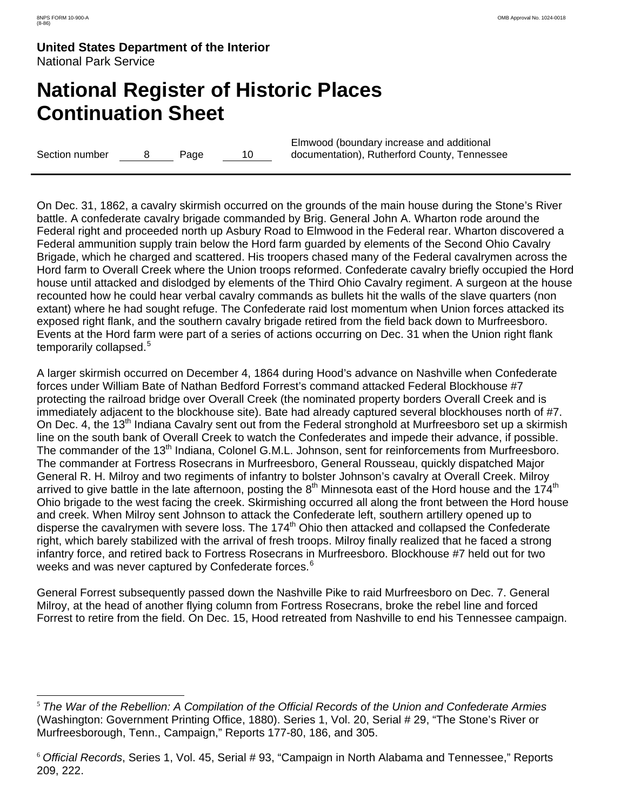$\overline{a}$ 

**United States Department of the Interior** National Park Service

# **National Register of Historic Places Continuation Sheet**

Section number 8 Page 10

Elmwood (boundary increase and additional documentation), Rutherford County, Tennessee

On Dec. 31, 1862, a cavalry skirmish occurred on the grounds of the main house during the Stone's River battle. A confederate cavalry brigade commanded by Brig. General John A. Wharton rode around the Federal right and proceeded north up Asbury Road to Elmwood in the Federal rear. Wharton discovered a Federal ammunition supply train below the Hord farm guarded by elements of the Second Ohio Cavalry Brigade, which he charged and scattered. His troopers chased many of the Federal cavalrymen across the Hord farm to Overall Creek where the Union troops reformed. Confederate cavalry briefly occupied the Hord house until attacked and dislodged by elements of the Third Ohio Cavalry regiment. A surgeon at the house recounted how he could hear verbal cavalry commands as bullets hit the walls of the slave quarters (non extant) where he had sought refuge. The Confederate raid lost momentum when Union forces attacked its exposed right flank, and the southern cavalry brigade retired from the field back down to Murfreesboro. Events at the Hord farm were part of a series of actions occurring on Dec. 31 when the Union right flank temporarily collapsed.<sup>[5](#page-13-0)</sup>

A larger skirmish occurred on December 4, 1864 during Hood's advance on Nashville when Confederate forces under William Bate of Nathan Bedford Forrest's command attacked Federal Blockhouse #7 protecting the railroad bridge over Overall Creek (the nominated property borders Overall Creek and is immediately adjacent to the blockhouse site). Bate had already captured several blockhouses north of #7. On Dec. 4, the 13<sup>th</sup> Indiana Cavalry sent out from the Federal stronghold at Murfreesboro set up a skirmish line on the south bank of Overall Creek to watch the Confederates and impede their advance, if possible. The commander of the 13<sup>th</sup> Indiana, Colonel G.M.L. Johnson, sent for reinforcements from Murfreesboro. The commander at Fortress Rosecrans in Murfreesboro, General Rousseau, quickly dispatched Major General R. H. Milroy and two regiments of infantry to bolster Johnson's cavalry at Overall Creek. Milroy arrived to give battle in the late afternoon, posting the  $8<sup>th</sup>$  Minnesota east of the Hord house and the 174<sup>th</sup> Ohio brigade to the west facing the creek. Skirmishing occurred all along the front between the Hord house and creek. When Milroy sent Johnson to attack the Confederate left, southern artillery opened up to disperse the cavalrymen with severe loss. The 174<sup>th</sup> Ohio then attacked and collapsed the Confederate right, which barely stabilized with the arrival of fresh troops. Milroy finally realized that he faced a strong infantry force, and retired back to Fortress Rosecrans in Murfreesboro. Blockhouse #7 held out for two weeks and was never captured by Confederate forces.<sup>[6](#page-13-1)</sup>

General Forrest subsequently passed down the Nashville Pike to raid Murfreesboro on Dec. 7. General Milroy, at the head of another flying column from Fortress Rosecrans, broke the rebel line and forced Forrest to retire from the field. On Dec. 15, Hood retreated from Nashville to end his Tennessee campaign.

<span id="page-13-0"></span><sup>5</sup> *The War of the Rebellion: A Compilation of the Official Records of the Union and Confederate Armies* (Washington: Government Printing Office, 1880). Series 1, Vol. 20, Serial # 29, "The Stone's River or Murfreesborough, Tenn., Campaign," Reports 177-80, 186, and 305.

<span id="page-13-1"></span><sup>6</sup> *Official Records*, Series 1, Vol. 45, Serial # 93, "Campaign in North Alabama and Tennessee," Reports 209, 222.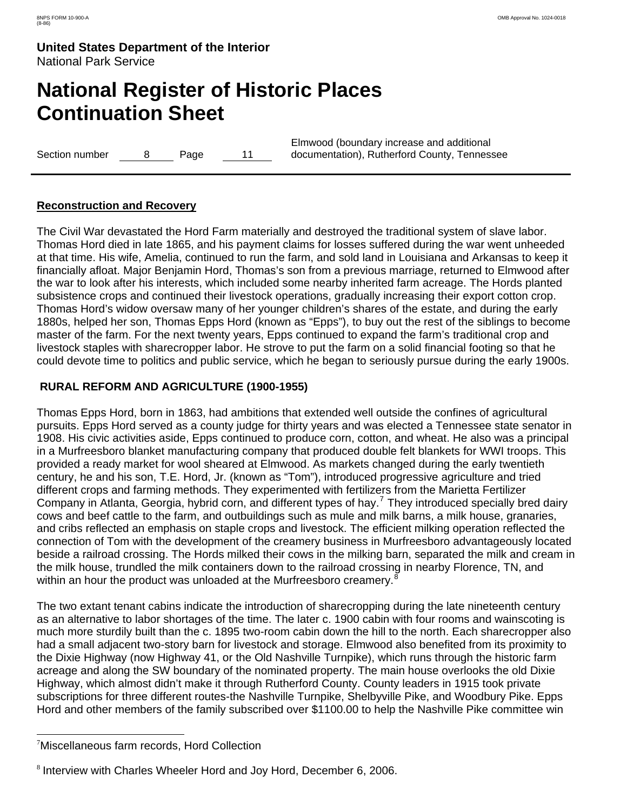# **National Register of Historic Places Continuation Sheet**

Section number 8 Page 11

Elmwood (boundary increase and additional documentation), Rutherford County, Tennessee

### **Reconstruction and Recovery**

The Civil War devastated the Hord Farm materially and destroyed the traditional system of slave labor. Thomas Hord died in late 1865, and his payment claims for losses suffered during the war went unheeded at that time. His wife, Amelia, continued to run the farm, and sold land in Louisiana and Arkansas to keep it financially afloat. Major Benjamin Hord, Thomas's son from a previous marriage, returned to Elmwood after the war to look after his interests, which included some nearby inherited farm acreage. The Hords planted subsistence crops and continued their livestock operations, gradually increasing their export cotton crop. Thomas Hord's widow oversaw many of her younger children's shares of the estate, and during the early 1880s, helped her son, Thomas Epps Hord (known as "Epps"), to buy out the rest of the siblings to become master of the farm. For the next twenty years, Epps continued to expand the farm's traditional crop and livestock staples with sharecropper labor. He strove to put the farm on a solid financial footing so that he could devote time to politics and public service, which he began to seriously pursue during the early 1900s.

### **RURAL REFORM AND AGRICULTURE (1900-1955)**

Thomas Epps Hord, born in 1863, had ambitions that extended well outside the confines of agricultural pursuits. Epps Hord served as a county judge for thirty years and was elected a Tennessee state senator in 1908. His civic activities aside, Epps continued to produce corn, cotton, and wheat. He also was a principal in a Murfreesboro blanket manufacturing company that produced double felt blankets for WWI troops. This provided a ready market for wool sheared at Elmwood. As markets changed during the early twentieth century, he and his son, T.E. Hord, Jr. (known as "Tom"), introduced progressive agriculture and tried different crops and farming methods. They experimented with fertilizers from the Marietta Fertilizer Company in Atlanta, Georgia, hybrid corn, and different types of hay.<sup>[7](#page-14-0)</sup> They introduced specially bred dairy cows and beef cattle to the farm, and outbuildings such as mule and milk barns, a milk house, granaries, and cribs reflected an emphasis on staple crops and livestock. The efficient milking operation reflected the connection of Tom with the development of the creamery business in Murfreesboro advantageously located beside a railroad crossing. The Hords milked their cows in the milking barn, separated the milk and cream in the milk house, trundled the milk containers down to the railroad crossing in nearby Florence, TN, and within an hour the product was unloaded at the Murfreesboro creamery.<sup>[8](#page-14-1)</sup>

The two extant tenant cabins indicate the introduction of sharecropping during the late nineteenth century as an alternative to labor shortages of the time. The later c. 1900 cabin with four rooms and wainscoting is much more sturdily built than the c. 1895 two-room cabin down the hill to the north. Each sharecropper also had a small adjacent two-story barn for livestock and storage. Elmwood also benefited from its proximity to the Dixie Highway (now Highway 41, or the Old Nashville Turnpike), which runs through the historic farm acreage and along the SW boundary of the nominated property. The main house overlooks the old Dixie Highway, which almost didn't make it through Rutherford County. County leaders in 1915 took private subscriptions for three different routes-the Nashville Turnpike, Shelbyville Pike, and Woodbury Pike. Epps Hord and other members of the family subscribed over \$1100.00 to help the Nashville Pike committee win

 $\overline{a}$ 

<span id="page-14-0"></span><sup>7</sup> Miscellaneous farm records, Hord Collection

<span id="page-14-1"></span><sup>8</sup> Interview with Charles Wheeler Hord and Joy Hord, December 6, 2006.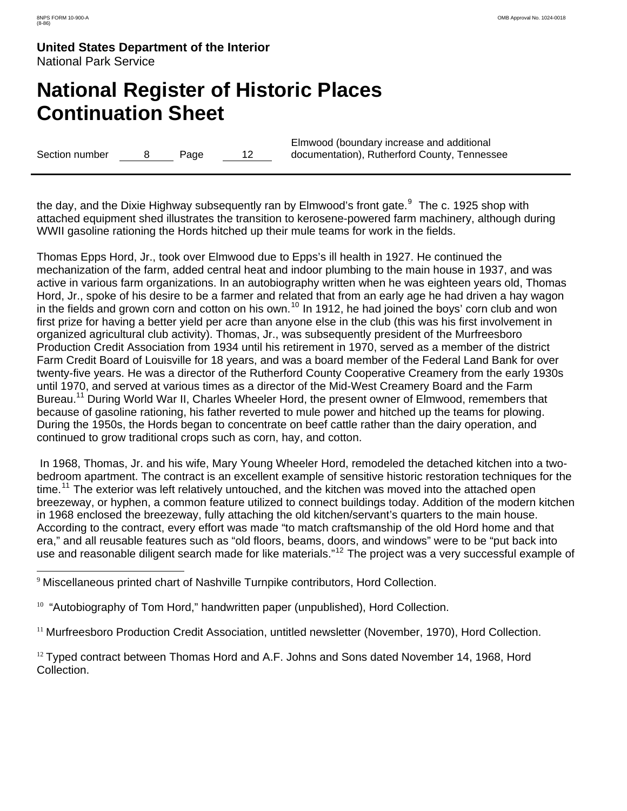$\overline{a}$ 

**United States Department of the Interior** National Park Service

# **National Register of Historic Places Continuation Sheet**

Section number 8 Page 12

Elmwood (boundary increase and additional documentation), Rutherford County, Tennessee

the day, and the Dixie Highway subsequently ran by Elmwood's front gate.<sup>[9](#page-15-0)</sup> The c. 1925 shop with attached equipment shed illustrates the transition to kerosene-powered farm machinery, although during WWII gasoline rationing the Hords hitched up their mule teams for work in the fields.

Thomas Epps Hord, Jr., took over Elmwood due to Epps's ill health in 1927. He continued the mechanization of the farm, added central heat and indoor plumbing to the main house in 1937, and was active in various farm organizations. In an autobiography written when he was eighteen years old, Thomas Hord, Jr., spoke of his desire to be a farmer and related that from an early age he had driven a hay wagon in the fields and grown corn and cotton on his own.<sup>[10](#page-15-1)</sup> In 1912, he had joined the boys' corn club and won first prize for having a better yield per acre than anyone else in the club (this was his first involvement in organized agricultural club activity). Thomas, Jr., was subsequently president of the Murfreesboro Production Credit Association from 1934 until his retirement in 1970, served as a member of the district Farm Credit Board of Louisville for 18 years, and was a board member of the Federal Land Bank for over twenty-five years. He was a director of the Rutherford County Cooperative Creamery from the early 1930s until 1970, and served at various times as a director of the Mid-West Creamery Board and the Farm Bureau.<sup>11</sup> During World War II, Charles Wheeler Hord, the present owner of Elmwood, remembers that because of gasoline rationing, his father reverted to mule power and hitched up the teams for plowing. During the 1950s, the Hords began to concentrate on beef cattle rather than the dairy operation, and continued to grow traditional crops such as corn, hay, and cotton.

 In 1968, Thomas, Jr. and his wife, Mary Young Wheeler Hord, remodeled the detached kitchen into a twobedroom apartment. The contract is an excellent example of sensitive historic restoration techniques for the time.<sup>[11](#page-15-2)</sup> The exterior was left relatively untouched, and the kitchen was moved into the attached open breezeway, or hyphen, a common feature utilized to connect buildings today. Addition of the modern kitchen in 1968 enclosed the breezeway, fully attaching the old kitchen/servant's quarters to the main house. According to the contract, every effort was made "to match craftsmanship of the old Hord home and that era," and all reusable features such as "old floors, beams, doors, and windows" were to be "put back into use and reasonable diligent search made for like materials."<sup>[12](#page-15-3)</sup> The project was a very successful example of

<span id="page-15-0"></span><sup>&</sup>lt;sup>9</sup> Miscellaneous printed chart of Nashville Turnpike contributors, Hord Collection.

<span id="page-15-1"></span> $10$  "Autobiography of Tom Hord," handwritten paper (unpublished), Hord Collection.

<span id="page-15-2"></span><sup>11</sup> Murfreesboro Production Credit Association, untitled newsletter (November, 1970), Hord Collection.

<span id="page-15-3"></span> $12$  Typed contract between Thomas Hord and A.F. Johns and Sons dated November 14, 1968, Hord Collection.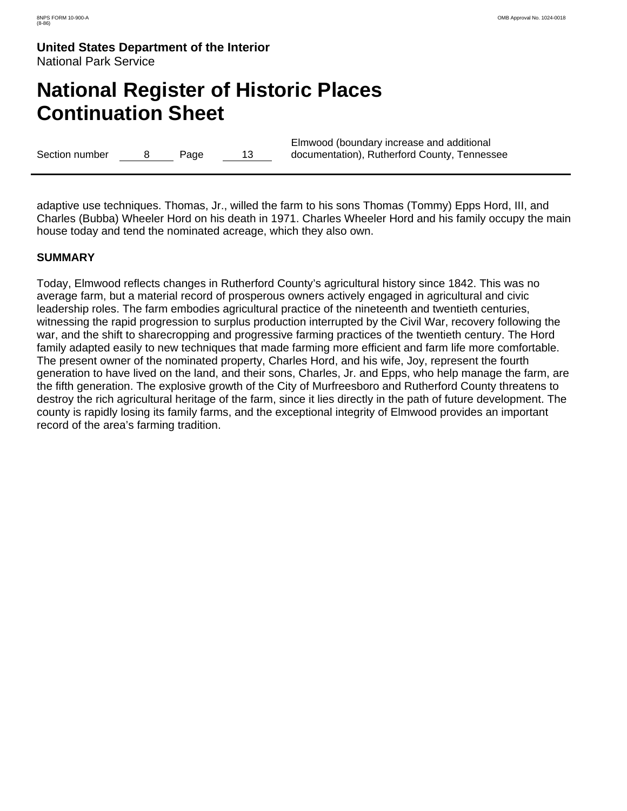# **National Register of Historic Places Continuation Sheet**

Section number 8 Page 13

Elmwood (boundary increase and additional documentation), Rutherford County, Tennessee

adaptive use techniques. Thomas, Jr., willed the farm to his sons Thomas (Tommy) Epps Hord, III, and Charles (Bubba) Wheeler Hord on his death in 1971. Charles Wheeler Hord and his family occupy the main house today and tend the nominated acreage, which they also own.

### **SUMMARY**

Today, Elmwood reflects changes in Rutherford County's agricultural history since 1842. This was no average farm, but a material record of prosperous owners actively engaged in agricultural and civic leadership roles. The farm embodies agricultural practice of the nineteenth and twentieth centuries, witnessing the rapid progression to surplus production interrupted by the Civil War, recovery following the war, and the shift to sharecropping and progressive farming practices of the twentieth century. The Hord family adapted easily to new techniques that made farming more efficient and farm life more comfortable. The present owner of the nominated property, Charles Hord, and his wife, Joy, represent the fourth generation to have lived on the land, and their sons, Charles, Jr. and Epps, who help manage the farm, are the fifth generation. The explosive growth of the City of Murfreesboro and Rutherford County threatens to destroy the rich agricultural heritage of the farm, since it lies directly in the path of future development. The county is rapidly losing its family farms, and the exceptional integrity of Elmwood provides an important record of the area's farming tradition.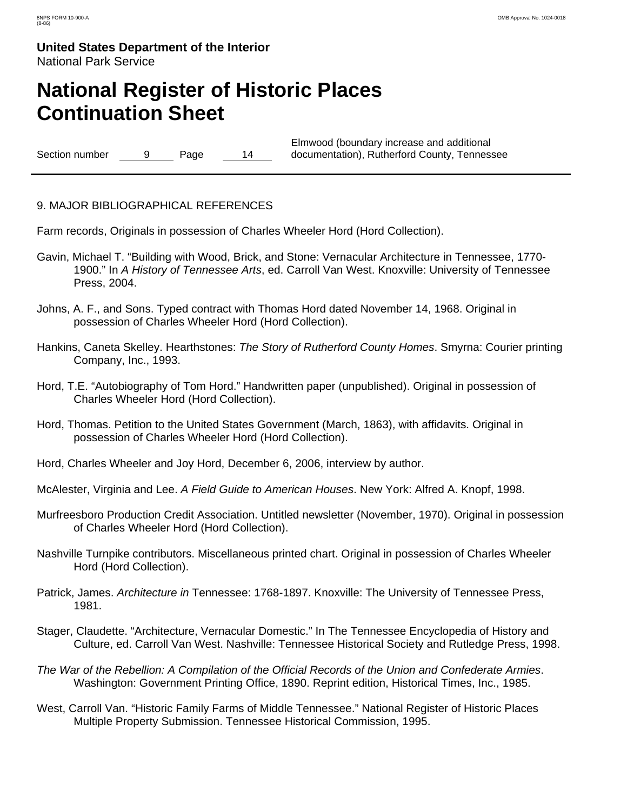# **National Register of Historic Places Continuation Sheet**

Section number 9 Page 14

Elmwood (boundary increase and additional documentation), Rutherford County, Tennessee

### 9. MAJOR BIBLIOGRAPHICAL REFERENCES

Farm records, Originals in possession of Charles Wheeler Hord (Hord Collection).

- Gavin, Michael T. "Building with Wood, Brick, and Stone: Vernacular Architecture in Tennessee, 1770- 1900." In *A History of Tennessee Arts*, ed. Carroll Van West. Knoxville: University of Tennessee Press, 2004.
- Johns, A. F., and Sons. Typed contract with Thomas Hord dated November 14, 1968. Original in possession of Charles Wheeler Hord (Hord Collection).
- Hankins, Caneta Skelley. Hearthstones: *The Story of Rutherford County Homes*. Smyrna: Courier printing Company, Inc., 1993.
- Hord, T.E. "Autobiography of Tom Hord." Handwritten paper (unpublished). Original in possession of Charles Wheeler Hord (Hord Collection).
- Hord, Thomas. Petition to the United States Government (March, 1863), with affidavits. Original in possession of Charles Wheeler Hord (Hord Collection).
- Hord, Charles Wheeler and Joy Hord, December 6, 2006, interview by author.
- McAlester, Virginia and Lee. *A Field Guide to American Houses*. New York: Alfred A. Knopf, 1998.
- Murfreesboro Production Credit Association. Untitled newsletter (November, 1970). Original in possession of Charles Wheeler Hord (Hord Collection).
- Nashville Turnpike contributors. Miscellaneous printed chart. Original in possession of Charles Wheeler Hord (Hord Collection).
- Patrick, James. *Architecture in* Tennessee: 1768-1897. Knoxville: The University of Tennessee Press, 1981.
- Stager, Claudette. "Architecture, Vernacular Domestic." In The Tennessee Encyclopedia of History and Culture, ed. Carroll Van West. Nashville: Tennessee Historical Society and Rutledge Press, 1998.
- *The War of the Rebellion: A Compilation of the Official Records of the Union and Confederate Armies*. Washington: Government Printing Office, 1890. Reprint edition, Historical Times, Inc., 1985.
- West, Carroll Van. "Historic Family Farms of Middle Tennessee." National Register of Historic Places Multiple Property Submission. Tennessee Historical Commission, 1995.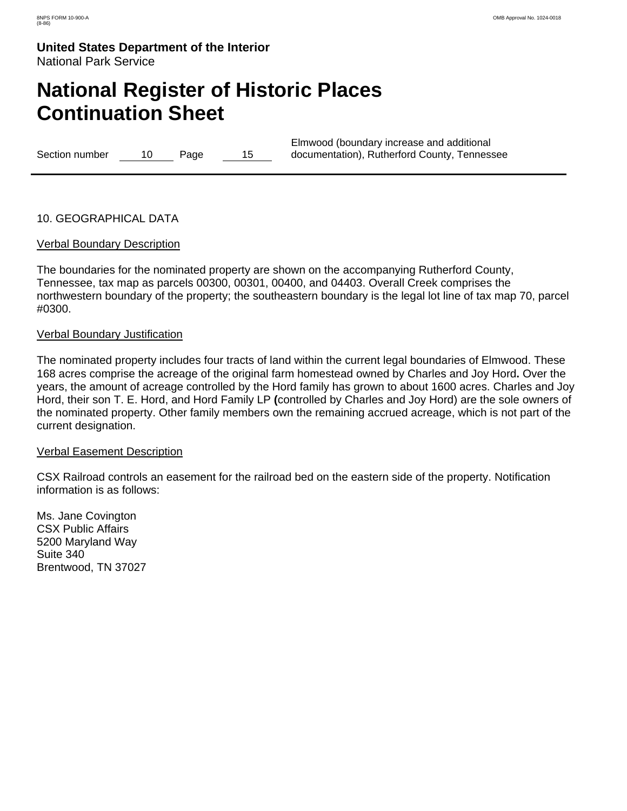# **National Register of Historic Places Continuation Sheet**

Section number 10 Page 15

Elmwood (boundary increase and additional documentation), Rutherford County, Tennessee

### 10. GEOGRAPHICAL DATA

#### Verbal Boundary Description

The boundaries for the nominated property are shown on the accompanying Rutherford County, Tennessee, tax map as parcels 00300, 00301, 00400, and 04403. Overall Creek comprises the northwestern boundary of the property; the southeastern boundary is the legal lot line of tax map 70, parcel #0300.

#### Verbal Boundary Justification

The nominated property includes four tracts of land within the current legal boundaries of Elmwood. These 168 acres comprise the acreage of the original farm homestead owned by Charles and Joy Hord**.** Over the years, the amount of acreage controlled by the Hord family has grown to about 1600 acres. Charles and Joy Hord, their son T. E. Hord, and Hord Family LP **(**controlled by Charles and Joy Hord) are the sole owners of the nominated property. Other family members own the remaining accrued acreage, which is not part of the current designation.

#### Verbal Easement Description

CSX Railroad controls an easement for the railroad bed on the eastern side of the property. Notification information is as follows:

Ms. Jane Covington CSX Public Affairs 5200 Maryland Way Suite 340 Brentwood, TN 37027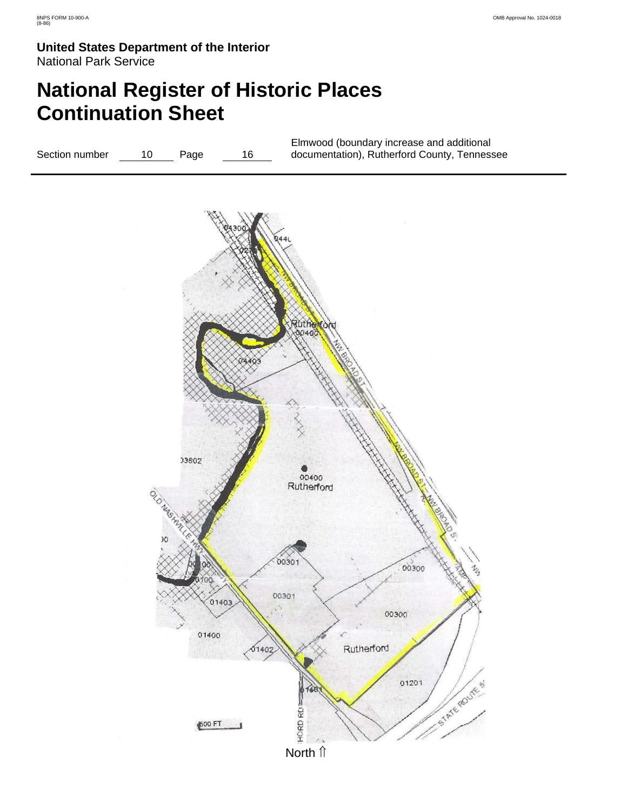# **National Register of Historic Places Continuation Sheet**

Elmwood (boundary increase and additional documentation), Rutherford County, Tennessee Section number 10 Page 16 Ruther<br>190400

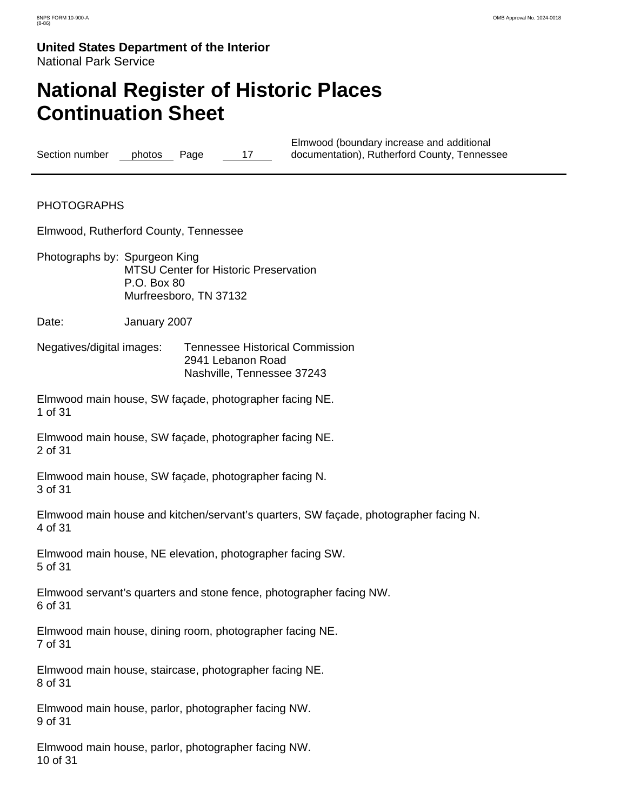# **National Register of Historic Places Continuation Sheet**

Section number photos Page 17

Elmwood (boundary increase and additional documentation), Rutherford County, Tennessee

PHOTOGRAPHS

Elmwood, Rutherford County, Tennessee

- Photographs by: Spurgeon King MTSU Center for Historic Preservation P.O. Box 80 Murfreesboro, TN 37132
- Date: **January 2007**
- Negatives/digital images: Tennessee Historical Commission 2941 Lebanon Road Nashville, Tennessee 37243

Elmwood main house, SW façade, photographer facing NE. 1 of 31

Elmwood main house, SW façade, photographer facing NE. 2 of 31

Elmwood main house, SW façade, photographer facing N. 3 of 31

Elmwood main house and kitchen/servant's quarters, SW façade, photographer facing N. 4 of 31

Elmwood main house, NE elevation, photographer facing SW. 5 of 31

Elmwood servant's quarters and stone fence, photographer facing NW. 6 of 31

Elmwood main house, dining room, photographer facing NE. 7 of 31

Elmwood main house, staircase, photographer facing NE. 8 of 31

Elmwood main house, parlor, photographer facing NW. 9 of 31

Elmwood main house, parlor, photographer facing NW. 10 of 31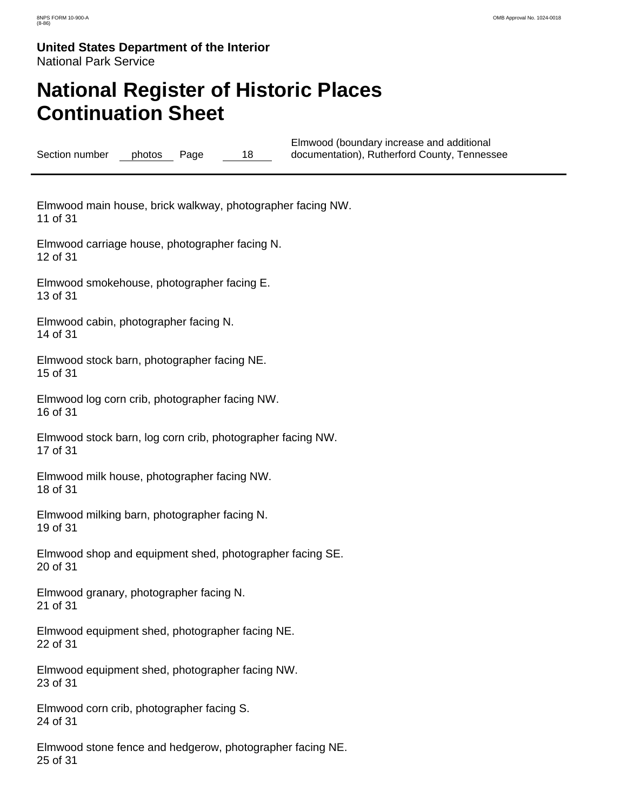# **National Register of Historic Places Continuation Sheet**

Section number photos Page 18 Elmwood (boundary increase and additional documentation), Rutherford County, Tennessee

Elmwood main house, brick walkway, photographer facing NW. 11 of 31

Elmwood carriage house, photographer facing N. 12 of 31

Elmwood smokehouse, photographer facing E. 13 of 31

Elmwood cabin, photographer facing N. 14 of 31

Elmwood stock barn, photographer facing NE. 15 of 31

Elmwood log corn crib, photographer facing NW. 16 of 31

Elmwood stock barn, log corn crib, photographer facing NW. 17 of 31

Elmwood milk house, photographer facing NW. 18 of 31

Elmwood milking barn, photographer facing N. 19 of 31

Elmwood shop and equipment shed, photographer facing SE. 20 of 31

Elmwood granary, photographer facing N. 21 of 31

Elmwood equipment shed, photographer facing NE. 22 of 31

Elmwood equipment shed, photographer facing NW. 23 of 31

Elmwood corn crib, photographer facing S. 24 of 31

Elmwood stone fence and hedgerow, photographer facing NE. 25 of 31